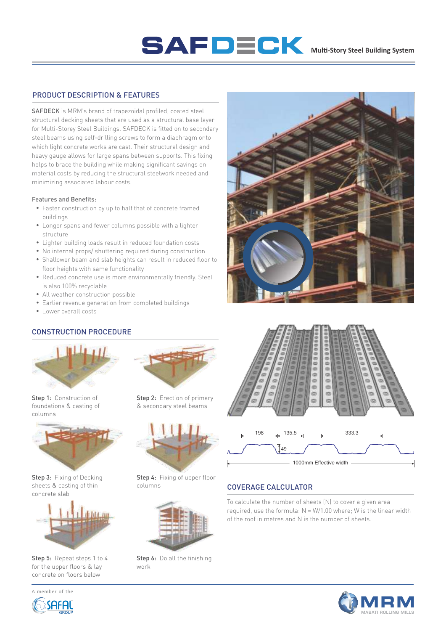## SAFDECK Multi-Story Steel Building System

#### PRODUCT DESCRIPTION & FEATURES

SAFDECK is MRM's brand of trapezoidal profiled, coated steel structural decking sheets that are used as a structural base layer for Multi-Storey Steel Buildings. SAFDECK is fitted on to secondary steel beams using self-drilling screws to form a diaphragm onto which light concrete works are cast. Their structural design and heavy gauge allows for large spans between supports. This fixing helps to brace the building while making significant savings on material costs by reducing the structural steelwork needed and minimizing associated labour costs.

#### Features and Benefits:

- Faster construction by up to half that of concrete framed buildings
- Longer spans and fewer columns possible with a lighter structure
- Lighter building loads result in reduced foundation costs
- No internal props/ shuttering required during construction
- Shallower beam and slab heights can result in reduced floor to floor heights with same functionality
- Reduced concrete use is more environmentally friendly. Steel is also 100% recyclable
- All weather construction possible
- Earlier revenue generation from completed buildings
- Lower overall costs

## CONSTRUCTION PROCEDURE



Step 1: Construction of foundations & casting of columns



Step 3: Fixing of Decking sheets & casting of thin concrete slab



Step 5: Repeat steps 1 to 4 for the upper floors & lay concrete on floors below



A member of the

Step 2: Erection of primary & secondary steel beams



Step 4: Fixing of upper floor columns



Step 6: Do all the finishing work





### COVERAGE CALCULATOR

To calculate the number of sheets (N) to cover a given area required, use the formula:  $N = W/1.00$  where; W is the linear width of the roof in metres and N is the number of sheets.

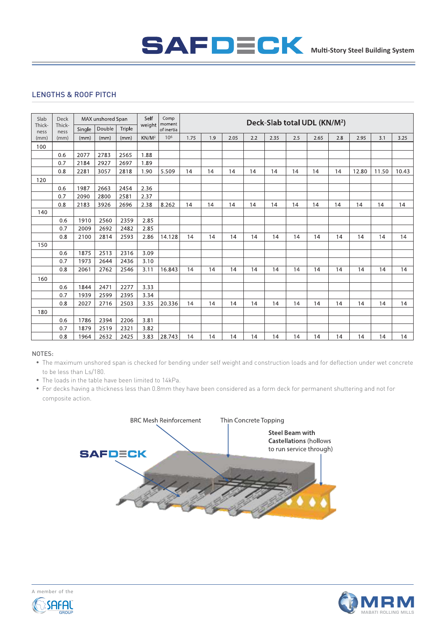## SAFDECK Multi-Story Steel Building System

## LENGTHS & ROOF PITCH

| Slab<br>Thick-<br>ness | <b>Deck</b><br>Thick-<br>ness | MAX unshored Span |        |        | Self<br>weight | Comp<br>moment  | Deck-Slab total UDL (KN/M <sup>2</sup> ) |     |      |     |      |     |      |     |       |       |       |
|------------------------|-------------------------------|-------------------|--------|--------|----------------|-----------------|------------------------------------------|-----|------|-----|------|-----|------|-----|-------|-------|-------|
|                        |                               | Single            | Double | Triple |                | of inertia      |                                          |     |      |     |      |     |      |     |       |       |       |
| (mm)                   | (mm)                          | (mm)              | (mm)   | (mm)   | $KN/M^2$       | 10 <sup>6</sup> | 1.75                                     | 1.9 | 2.05 | 2.2 | 2.35 | 2.5 | 2.65 | 2.8 | 2.95  | 3.1   | 3.25  |
| 100                    |                               |                   |        |        |                |                 |                                          |     |      |     |      |     |      |     |       |       |       |
|                        | 0.6                           | 2077              | 2783   | 2565   | 1.88           |                 |                                          |     |      |     |      |     |      |     |       |       |       |
|                        | 0.7                           | 2184              | 2927   | 2697   | 1.89           |                 |                                          |     |      |     |      |     |      |     |       |       |       |
|                        | 0.8                           | 2281              | 3057   | 2818   | 1.90           | 5.509           | 14                                       | 14  | 14   | 14  | 14   | 14  | 14   | 14  | 12.80 | 11.50 | 10.43 |
| 120                    |                               |                   |        |        |                |                 |                                          |     |      |     |      |     |      |     |       |       |       |
|                        | 0.6                           | 1987              | 2663   | 2454   | 2.36           |                 |                                          |     |      |     |      |     |      |     |       |       |       |
|                        | 0.7                           | 2090              | 2800   | 2581   | 2.37           |                 |                                          |     |      |     |      |     |      |     |       |       |       |
|                        | 0.8                           | 2183              | 3926   | 2696   | 2.38           | 8.262           | 14                                       | 14  | 14   | 14  | 14   | 14  | 14   | 14  | 14    | 14    | 14    |
| 140                    |                               |                   |        |        |                |                 |                                          |     |      |     |      |     |      |     |       |       |       |
|                        | 0.6                           | 1910              | 2560   | 2359   | 2.85           |                 |                                          |     |      |     |      |     |      |     |       |       |       |
|                        | 0.7                           | 2009              | 2692   | 2482   | 2.85           |                 |                                          |     |      |     |      |     |      |     |       |       |       |
|                        | 0.8                           | 2100              | 2814   | 2593   | 2.86           | 14.128          | 14                                       | 14  | 14   | 14  | 14   | 14  | 14   | 14  | 14    | 14    | 14    |
| 150                    |                               |                   |        |        |                |                 |                                          |     |      |     |      |     |      |     |       |       |       |
|                        | 0.6                           | 1875              | 2513   | 2316   | 3.09           |                 |                                          |     |      |     |      |     |      |     |       |       |       |
|                        | 0.7                           | 1973              | 2644   | 2436   | 3.10           |                 |                                          |     |      |     |      |     |      |     |       |       |       |
|                        | 0.8                           | 2061              | 2762   | 2546   | 3.11           | 16.843          | 14                                       | 14  | 14   | 14  | 14   | 14  | 14   | 14  | 14    | 14    | 14    |
| 160                    |                               |                   |        |        |                |                 |                                          |     |      |     |      |     |      |     |       |       |       |
|                        | 0.6                           | 1844              | 2471   | 2277   | 3.33           |                 |                                          |     |      |     |      |     |      |     |       |       |       |
|                        | 0.7                           | 1939              | 2599   | 2395   | 3.34           |                 |                                          |     |      |     |      |     |      |     |       |       |       |
|                        | 0.8                           | 2027              | 2716   | 2503   | 3.35           | 20.336          | 14                                       | 14  | 14   | 14  | 14   | 14  | 14   | 14  | 14    | 14    | 14    |
| 180                    |                               |                   |        |        |                |                 |                                          |     |      |     |      |     |      |     |       |       |       |
|                        | 0.6                           | 1786              | 2394   | 2206   | 3.81           |                 |                                          |     |      |     |      |     |      |     |       |       |       |
|                        | 0.7                           | 1879              | 2519   | 2321   | 3.82           |                 |                                          |     |      |     |      |     |      |     |       |       |       |
|                        | 0.8                           | 1964              | 2632   | 2425   | 3.83           | 28.743          | 14                                       | 14  | 14   | 14  | 14   | 14  | 14   | 14  | 14    | 14    | 14    |

#### NOTES:

- The maximum unshored span is checked for bending under self weight and construction loads and for deflection under wet concrete to be less than Ls/180.
- The loads in the table have been limited to 14kPa.
- For decks having a thickness less than 0.8mm they have been considered as a form deck for permanent shuttering and not for composite action.